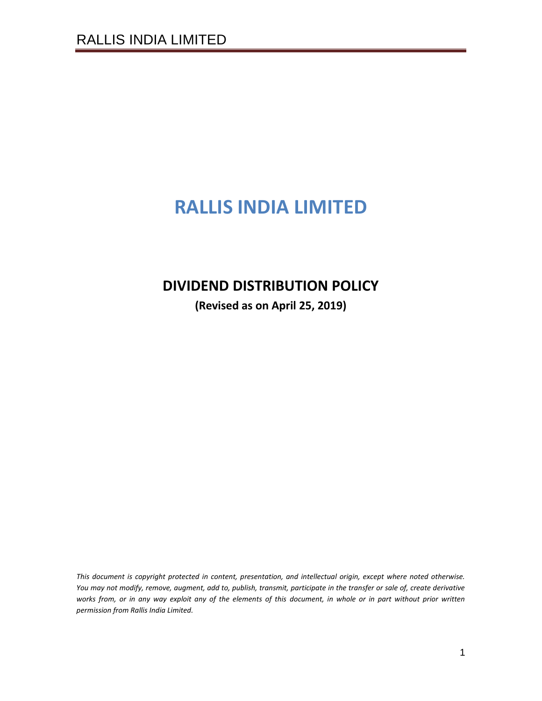# **RALLIS INDIA LIMITED**

# **DIVIDEND DISTRIBUTION POLICY**

**(Revised as on April 25, 2019)**

*This document is copyright protected in content, presentation, and intellectual origin, except where noted otherwise. You may not modify, remove, augment, add to, publish, transmit, participate in the transfer or sale of, create derivative works from, or in any way exploit any of the elements of this document, in whole or in part without prior written permission from Rallis India Limited.*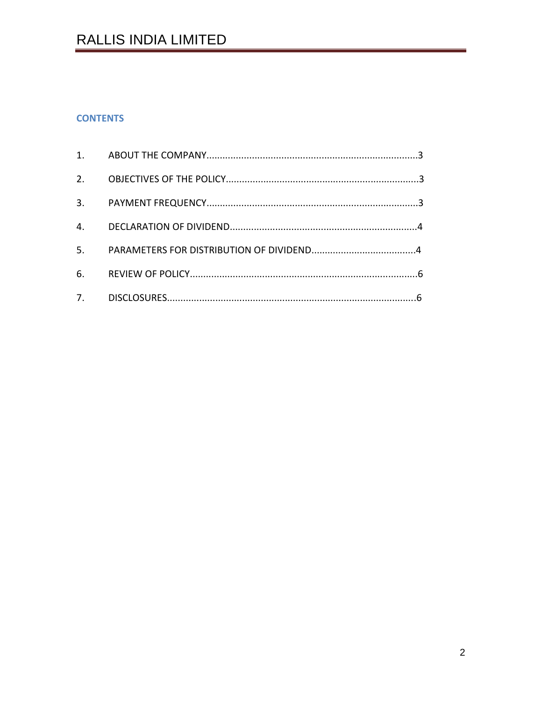# **CONTENTS**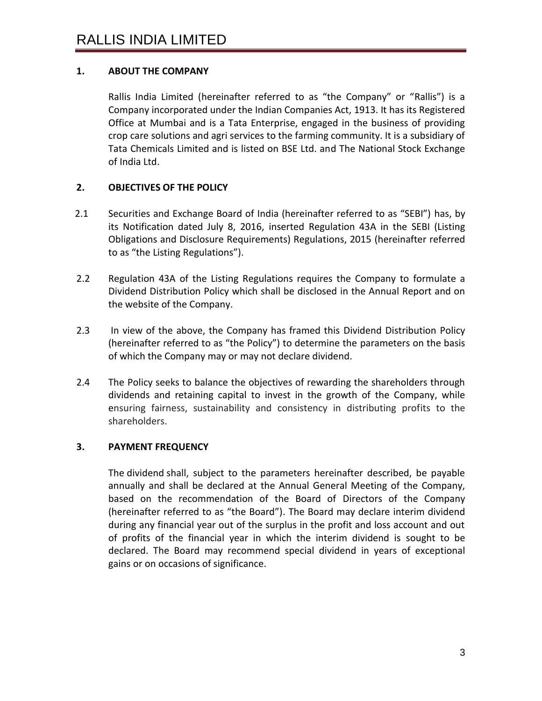# **1. ABOUT THE COMPANY**

Rallis India Limited (hereinafter referred to as "the Company" or "Rallis") is a Company incorporated under the Indian Companies Act, 1913. It has its Registered Office at Mumbai and is a Tata Enterprise, engaged in the business of providing crop care solutions and agri services to the farming community. It is a subsidiary of Tata Chemicals Limited and is listed on BSE Ltd. and The National Stock Exchange of India Ltd.

# **2. OBJECTIVES OF THE POLICY**

- 2.1 Securities and Exchange Board of India (hereinafter referred to as "SEBI") has, by its Notification dated July 8, 2016, inserted Regulation 43A in the SEBI (Listing Obligations and Disclosure Requirements) Regulations, 2015 (hereinafter referred to as "the Listing Regulations").
- 2.2 Regulation 43A of the Listing Regulations requires the Company to formulate a Dividend Distribution Policy which shall be disclosed in the Annual Report and on the website of the Company.
- 2.3 In view of the above, the Company has framed this Dividend Distribution Policy (hereinafter referred to as "the Policy") to determine the parameters on the basis of which the Company may or may not declare dividend.
- 2.4 The Policy seeks to balance the objectives of rewarding the shareholders through dividends and retaining capital to invest in the growth of the Company, while ensuring fairness, sustainability and consistency in distributing profits to the shareholders.

### **3. PAYMENT FREQUENCY**

The dividend shall, subject to the parameters hereinafter described, be payable annually and shall be declared at the Annual General Meeting of the Company, based on the recommendation of the Board of Directors of the Company (hereinafter referred to as "the Board"). The Board may declare interim dividend during any financial year out of the surplus in the profit and loss account and out of profits of the financial year in which the interim dividend is sought to be declared. The Board may recommend special dividend in years of exceptional gains or on occasions of significance.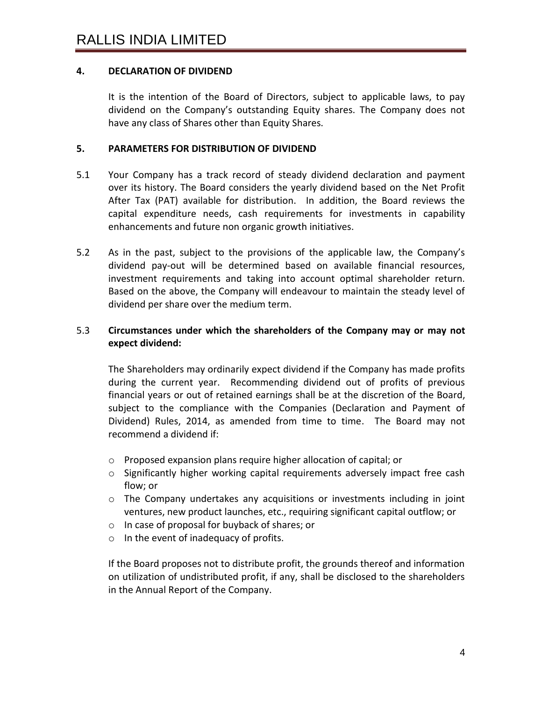### **4. DECLARATION OF DIVIDEND**

It is the intention of the Board of Directors, subject to applicable laws, to pay dividend on the Company's outstanding Equity shares. The Company does not have any class of Shares other than Equity Shares.

#### **5. PARAMETERS FOR DISTRIBUTION OF DIVIDEND**

- 5.1 Your Company has a track record of steady dividend declaration and payment over its history. The Board considers the yearly dividend based on the Net Profit After Tax (PAT) available for distribution. In addition, the Board reviews the capital expenditure needs, cash requirements for investments in capability enhancements and future non organic growth initiatives.
- 5.2 As in the past, subject to the provisions of the applicable law, the Company's dividend pay-out will be determined based on available financial resources, investment requirements and taking into account optimal shareholder return. Based on the above, the Company will endeavour to maintain the steady level of dividend per share over the medium term.

#### 5.3 **Circumstances under which the shareholders of the Company may or may not expect dividend:**

The Shareholders may ordinarily expect dividend if the Company has made profits during the current year. Recommending dividend out of profits of previous financial years or out of retained earnings shall be at the discretion of the Board, subject to the compliance with the Companies (Declaration and Payment of Dividend) Rules, 2014, as amended from time to time. The Board may not recommend a dividend if:

- o Proposed expansion plans require higher allocation of capital; or
- $\circ$  Significantly higher working capital requirements adversely impact free cash flow; or
- $\circ$  The Company undertakes any acquisitions or investments including in joint ventures, new product launches, etc., requiring significant capital outflow; or
- o In case of proposal for buyback of shares; or
- o In the event of inadequacy of profits.

If the Board proposes not to distribute profit, the grounds thereof and information on utilization of undistributed profit, if any, shall be disclosed to the shareholders in the Annual Report of the Company.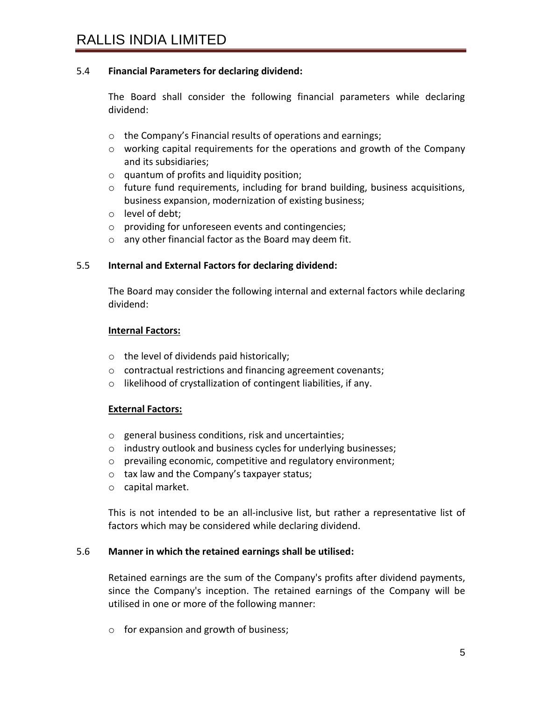### 5.4 **Financial Parameters for declaring dividend:**

The Board shall consider the following financial parameters while declaring dividend:

- o the Company's Financial results of operations and earnings;
- o working capital requirements for the operations and growth of the Company and its subsidiaries;
- o quantum of profits and liquidity position;
- $\circ$  future fund requirements, including for brand building, business acquisitions, business expansion, modernization of existing business;
- o level of debt;
- o providing for unforeseen events and contingencies;
- o any other financial factor as the Board may deem fit.

#### 5.5 **Internal and External Factors for declaring dividend:**

The Board may consider the following internal and external factors while declaring dividend:

#### **Internal Factors:**

- o the level of dividends paid historically;
- o contractual restrictions and financing agreement covenants;
- o likelihood of crystallization of contingent liabilities, if any.

#### **External Factors:**

- o general business conditions, risk and uncertainties;
- o industry outlook and business cycles for underlying businesses;
- o prevailing economic, competitive and regulatory environment;
- o tax law and the Company's taxpayer status;
- o capital market.

This is not intended to be an all-inclusive list, but rather a representative list of factors which may be considered while declaring dividend.

#### 5.6 **Manner in which the retained earnings shall be utilised:**

Retained earnings are the sum of the Company's profits after dividend payments, since the Company's inception. The retained earnings of the Company will be utilised in one or more of the following manner:

o for expansion and growth of business;